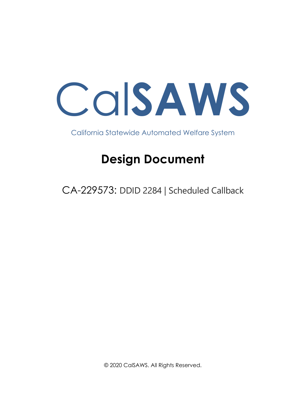

California Statewide Automated Welfare System

# **Design Document**

CA-229573: DDID 2284 | Scheduled Callback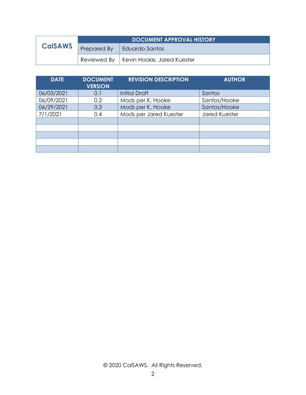|                | <b>DOCUMENT APPROVAL HISTORY</b> |                                          |  |  |  |
|----------------|----------------------------------|------------------------------------------|--|--|--|
| <b>CalSAWS</b> | Prepared By                      | Eduardo Santos                           |  |  |  |
|                |                                  | Reviewed By   Kevin Hooke, Jared Kuester |  |  |  |

| <b>DATE</b> | <b>DOCUMENT</b><br><b>VERSION</b> | <b>REVISION DESCRIPTION</b> | <b>AUTHOR</b>        |
|-------------|-----------------------------------|-----------------------------|----------------------|
| 06/03/2021  | 0.1                               | <b>Initial Draft</b>        | Santos               |
| 06/09/2021  | 0.2                               | Mods per K. Hooke           | Santos/Hooke         |
| 06/29/2021  | 0.3                               | Mods per K. Hooke           | Santos/Hooke         |
| 7/1/2021    | 0.4                               | Mods per Jared Kuester      | <b>Jared Kuester</b> |
|             |                                   |                             |                      |
|             |                                   |                             |                      |
|             |                                   |                             |                      |
|             |                                   |                             |                      |
|             |                                   |                             |                      |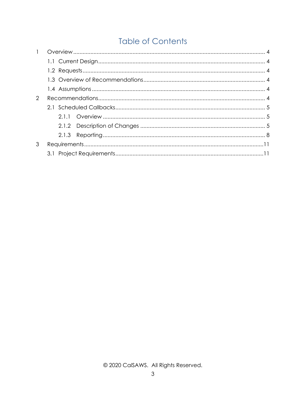# **Table of Contents**

| $\mathbf{1}$ |  |  |
|--------------|--|--|
|              |  |  |
|              |  |  |
|              |  |  |
|              |  |  |
| 2            |  |  |
|              |  |  |
|              |  |  |
|              |  |  |
|              |  |  |
| 3            |  |  |
|              |  |  |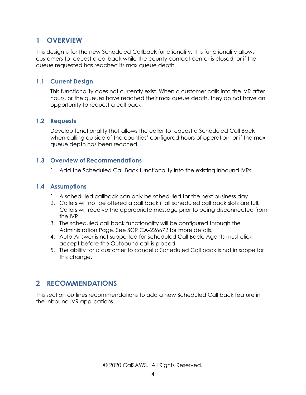# <span id="page-3-0"></span>**1 OVERVIEW**

This design is for the new Scheduled Callback functionality. This functionality allows customers to request a callback while the county contact center is closed, or if the queue requested has reached its max queue depth.

#### <span id="page-3-1"></span>**1.1 Current Design**

This functionality does not currently exist. When a customer calls into the IVR after hours, or the queues have reached their max queue depth, they do not have an opportunity to request a call back.

#### <span id="page-3-2"></span>**1.2 Requests**

Develop functionality that allows the caller to request a Scheduled Call Back when calling outside of the counties' configured hours of operation, or if the max queue depth has been reached.

#### <span id="page-3-3"></span>**1.3 Overview of Recommendations**

1. Add the Scheduled Call Back functionality into the existing Inbound IVRs.

#### <span id="page-3-4"></span>**1.4 Assumptions**

- 1. A scheduled callback can only be scheduled for the next business day.
- 2. Callers will not be offered a call back if all scheduled call back slots are full. Callers will receive the appropriate message prior to being disconnected from the IVR.
- 3. The scheduled call back functionality will be configured through the Administration Page. See SCR CA-226672 for more details.
- 4. Auto-Answer is not supported for Scheduled Call Back. Agents must click accept before the Outbound call is placed.
- 5. The ability for a customer to cancel a Scheduled Call back is not in scope for this change.

## <span id="page-3-5"></span>**2 RECOMMENDATIONS**

This section outlines recommendations to add a new Scheduled Call back feature in the Inbound IVR applications.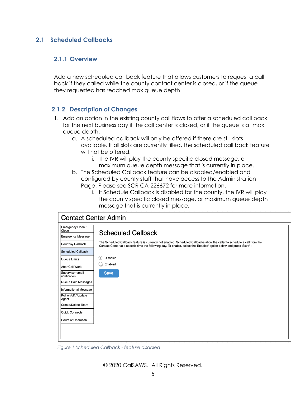#### <span id="page-4-1"></span><span id="page-4-0"></span>**2.1 Scheduled Callbacks**

#### **2.1.1 Overview**

Add a new scheduled call back feature that allows customers to request a call back if they called while the county contact center is closed, or if the queue they requested has reached max queue depth.

#### <span id="page-4-2"></span>**2.1.2 Description of Changes**

- 1. Add an option in the existing county call flows to offer a scheduled call back for the next business day if the call center is closed, or if the queue is at max queue depth.
	- a. A scheduled callback will only be offered if there are still slots available. If all slots are currently filled, the scheduled call back feature will not be offered.
		- i. The IVR will play the county specific closed message, or maximum queue depth message that is currently in place.
	- b. The Scheduled Callback feature can be disabled/enabled and configured by county staff that have access to the Administration Page. Please see SCR CA-226672 for more information.
		- i. If Schedule Callback is disabled for the county, the IVR will play the county specific closed message, or maximum queue depth message that is currently in place.

| <b>Contact Center Admin</b>                                                                                                                                                                                                                                                                                                          |                                                                                                                                                                                                                                                                                                                                   |  |  |  |  |
|--------------------------------------------------------------------------------------------------------------------------------------------------------------------------------------------------------------------------------------------------------------------------------------------------------------------------------------|-----------------------------------------------------------------------------------------------------------------------------------------------------------------------------------------------------------------------------------------------------------------------------------------------------------------------------------|--|--|--|--|
| Emergency Open /<br>Close<br><b>Emergency Message</b><br>Courtesy Callback<br><b>Scheduled Callback</b><br>Queue Limits<br>After Call Work<br>Supervisor email<br>notification<br>Queue Hold Messages<br><b>Informational Message</b><br>Roll on/off / Update<br>Agent<br>Create/Delete Team<br>Quick Connects<br>Hours of Operation | <b>Scheduled Callback</b><br>The Scheduled Callback feature is currently not enabled. Scheduled Callbacks allow the caller to schedule a call from the<br>Contact Center at a specific time the following day. To enable, select the 'Enabled' option below and press 'Save':<br>(●)<br><b>Disabled</b><br>Enabled<br><b>Save</b> |  |  |  |  |

*Figure 1 Scheduled Callback - feature disabled*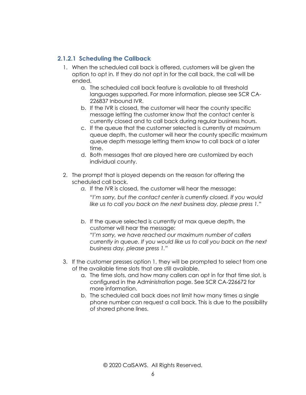#### **2.1.2.1 Scheduling the Callback**

- 1. When the scheduled call back is offered, customers will be given the option to opt in. If they do not opt in for the call back, the call will be ended.
	- a. The scheduled call back feature is available to all threshold languages supported. For more information, please see SCR CA-226837 Inbound IVR.
	- b. If the IVR is closed, the customer will hear the county specific message letting the customer know that the contact center is currently closed and to call back during regular business hours.
	- c. If the queue that the customer selected is currently at maximum queue depth, the customer will hear the county specific maximum queue depth message letting them know to call back at a later time.
	- d. Both messages that are played here are customized by each individual county.
- 2. The prompt that is played depends on the reason for offering the scheduled call back.
	- *a.* If the IVR is closed, the customer will hear the message:

"*I'm sorry, but the contact center is currently closed. If you would like us to call you back on the next business day, please press 1."* 

- *b.* If the queue selected is currently at max queue depth, the customer will hear the message: *"I'm sorry, we have reached our maximum number of callers currently in queue. If you would like us to call you back on the next business day, please press 1."*
- 3. If the customer presses option 1, they will be prompted to select from one of the available time slots that are still available.
	- a. The time slots, and how many callers can opt in for that time slot, is configured in the Administration page. See SCR CA-226672 for more information.
	- b. The scheduled call back does not limit how many times a single phone number can request a call back. This is due to the possibility of shared phone lines.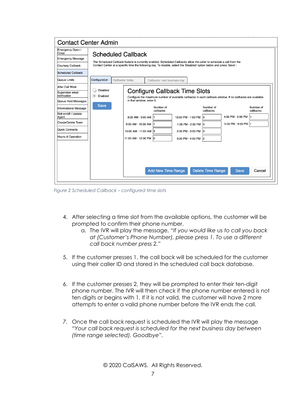| <b>Contact Center Admin</b>                                                                                                                                                                        |                                                             |                                                                                                                                                                                                                                                                             |                              |                                                                                                                            |                          |                                                                                                                                                        |                        |
|----------------------------------------------------------------------------------------------------------------------------------------------------------------------------------------------------|-------------------------------------------------------------|-----------------------------------------------------------------------------------------------------------------------------------------------------------------------------------------------------------------------------------------------------------------------------|------------------------------|----------------------------------------------------------------------------------------------------------------------------|--------------------------|--------------------------------------------------------------------------------------------------------------------------------------------------------|------------------------|
| Emergency Open /<br>Close<br><b>Emergency Message</b><br>Courtesy Callback<br>Scheduled Callback                                                                                                   |                                                             | <b>Scheduled Callback</b><br>The Scheduled Callback feature is currently enabled. Scheduled Callbacks allow the caller to schedule a call from the<br>Contact Center at a specific time the following day. To disable, select the 'Disabled' option below and press 'Save': |                              |                                                                                                                            |                          |                                                                                                                                                        |                        |
| Queue Limits                                                                                                                                                                                       | Configuration                                               | Callbacks: today                                                                                                                                                                                                                                                            | Callbacks: next business day |                                                                                                                            |                          |                                                                                                                                                        |                        |
| After Call Work<br>Supervisor email<br>notification<br>Queue Hold Messages<br>Informational Message<br>Roll on/off / Update<br>Agent<br>Create/Delete Team<br>Quick Connects<br>Hours of Operation | <b>Disabled</b><br>$\circledcirc$<br>Enabled<br><b>Save</b> | in that window, enter 0.<br>8:00 AM - 9:00 AM 1<br>9:00 AM - 10:00 AM  <br>10:00 AM - 11:00 AM 3<br>11:00 AM - 12:00 PM 0                                                                                                                                                   | Number of<br>callbacks       | Configure Callback Time Slots<br>12:00 PM - 1:00 PM 3<br>1:00 PM - 2:00 PM 3<br>2:00 PM - 3:00 PM 3<br>3:00 PM - 4:00 PM 2 | Number of<br>callbacks   | Configure the maximum number of available callbacks in each callback window. If no callbacks are available<br>4:00 PM - 5:00 PM<br>5:00 PM - 6:00 PM 1 | Number of<br>callbacks |
|                                                                                                                                                                                                    |                                                             |                                                                                                                                                                                                                                                                             | <b>Add New Time Range</b>    |                                                                                                                            | <b>Delete Time Range</b> | <b>Save</b>                                                                                                                                            | Cancel                 |

*Figure 2 Scheduled Callback – configured time slots*

- 4. After selecting a time slot from the available options, the customer will be prompted to confirm their phone number.
	- a. The IVR will play the message, "*If you would like us to call you back at (Customer's Phone Number), please press 1. To use a different call back number press 2."*
- 5. If the customer presses 1, the call back will be scheduled for the customer using their caller ID and stored in the scheduled call back database.
- 6. If the customer presses 2, they will be prompted to enter their ten-digit phone number. The IVR will then check if the phone number entered is not ten digits or begins with 1. If it is not valid, the customer will have 2 more attempts to enter a valid phone number before the IVR ends the call.
- *7.* Once the call back request is scheduled the IVR will play the message *"Your call back request is scheduled for the next business day between (time range selected). Goodbye".*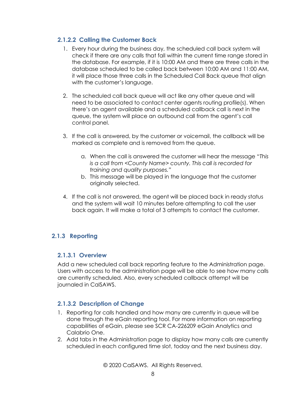#### **2.1.2.2 Calling the Customer Back**

- 1. Every hour during the business day, the scheduled call back system will check if there are any calls that fall within the current time range stored in the database. For example, if it is 10:00 AM and there are three calls in the database scheduled to be called back between 10:00 AM and 11:00 AM, it will place those three calls in the Scheduled Call Back queue that align with the customer's language.
- 2. The scheduled call back queue will act like any other queue and will need to be associated to contact center agents routing profile(s). When there's an agent available and a scheduled callback call is next in the queue, the system will place an outbound call from the agent's call control panel.
- 3. If the call is answered, by the customer or voicemail, the callback will be marked as complete and is removed from the queue.
	- a. When the call is answered the customer will hear the message "*This is a call from <County Name> county. This call is recorded for training and quality purposes."*
	- b. This message will be played in the language that the customer originally selected.
- 4. If the call is not answered, the agent will be placed back in ready status and the system will wait 10 minutes before attempting to call the user back again. It will make a total of 3 attempts to contact the customer.

## <span id="page-7-0"></span>**2.1.3 Reporting**

#### **2.1.3.1 Overview**

Add a new scheduled call back reporting feature to the Administration page. Users with access to the administration page will be able to see how many calls are currently scheduled. Also, every scheduled callback attempt will be journaled in CalSAWS.

#### **2.1.3.2 Description of Change**

- 1. Reporting for calls handled and how many are currently in queue will be done through the eGain reporting tool. For more information on reporting capabilities of eGain, please see SCR CA-226209 eGain Analytics and Calabrio One.
- 2. Add tabs in the Administration page to display how many calls are currently scheduled in each configured time slot, today and the next business day.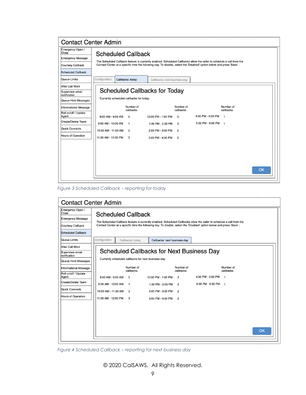| <b>Contact Center Admin</b>      |                           |                                                                                                                       |                                                                                                                       |                              |                   |                        |    |
|----------------------------------|---------------------------|-----------------------------------------------------------------------------------------------------------------------|-----------------------------------------------------------------------------------------------------------------------|------------------------------|-------------------|------------------------|----|
| Emergency Open /<br>Close        | <b>Scheduled Callback</b> |                                                                                                                       |                                                                                                                       |                              |                   |                        |    |
| <b>Emergency Message</b>         |                           | The Scheduled Callback feature is currently enabled. Scheduled Callbacks allow the caller to schedule a call from the |                                                                                                                       |                              |                   |                        |    |
| Courtesy Callback                |                           |                                                                                                                       | Contact Center at a specific time the following day. To disable, select the 'Disabled' option below and press 'Save': |                              |                   |                        |    |
| Scheduled Callback               |                           |                                                                                                                       |                                                                                                                       |                              |                   |                        |    |
| Queue Limits                     | Configuration             | Callbacks: todav                                                                                                      |                                                                                                                       | Callbacks: next business day |                   |                        |    |
| After Call Work                  |                           |                                                                                                                       |                                                                                                                       |                              |                   |                        |    |
| Supervisor email<br>notification |                           |                                                                                                                       | <b>Scheduled Callbacks for Today</b>                                                                                  |                              |                   |                        |    |
| Queue Hold Messages              |                           | Currently scheduled callbacks for today:                                                                              |                                                                                                                       |                              |                   |                        |    |
| <b>Informational Message</b>     |                           | Number of<br>callbacks                                                                                                |                                                                                                                       | Number of<br>callbacks       |                   | Number of<br>callbacks |    |
| Roll on/off / Update<br>Agent    | 8:00 AM - 9:00 AM         | $\Omega$                                                                                                              | 12:00 PM - 1:00 PM                                                                                                    | 3                            | 4:00 PM - 5:00 PM | $\overline{1}$         |    |
| Create/Delete Team               | 9:00 AM - 10:00 AM        | $\mathbf{1}$                                                                                                          | 1:00 PM - 2:00 PM                                                                                                     | 3                            | 5:00 PM - 6:00 PM | $\mathbf{1}$           |    |
| Quick Connects                   | 10:00 AM - 11:00 AM       | $\overline{2}$                                                                                                        | 2:00 PM - 3:00 PM                                                                                                     | $\overline{2}$               |                   |                        |    |
| Hours of Operation               | 11:00 AM - 12:00 PM       | 3                                                                                                                     | 3:00 PM - 4:00 PM                                                                                                     | $\overline{c}$               |                   |                        |    |
|                                  |                           |                                                                                                                       |                                                                                                                       |                              |                   |                        |    |
|                                  |                           |                                                                                                                       |                                                                                                                       |                              |                   |                        |    |
|                                  |                           |                                                                                                                       |                                                                                                                       |                              |                   |                        |    |
|                                  |                           |                                                                                                                       |                                                                                                                       |                              |                   |                        |    |
|                                  |                           |                                                                                                                       |                                                                                                                       |                              |                   |                        | OK |
|                                  |                           |                                                                                                                       |                                                                                                                       |                              |                   |                        |    |

*Figure 3 Scheduled Callback – reporting for today*

| <b>Contact Center Admin</b>      |                                                                                                                                                                                                                                                                             |                        |                                                      |                        |                     |                        |    |
|----------------------------------|-----------------------------------------------------------------------------------------------------------------------------------------------------------------------------------------------------------------------------------------------------------------------------|------------------------|------------------------------------------------------|------------------------|---------------------|------------------------|----|
| Emergency Open /<br>Close        | <b>Scheduled Callback</b><br>The Scheduled Callback feature is currently enabled. Scheduled Callbacks allow the caller to schedule a call from the<br>Contact Center at a specific time the following day. To disable, select the 'Disabled' option below and press 'Save': |                        |                                                      |                        |                     |                        |    |
| <b>Emergency Message</b>         |                                                                                                                                                                                                                                                                             |                        |                                                      |                        |                     |                        |    |
| <b>Courtesy Callback</b>         |                                                                                                                                                                                                                                                                             |                        |                                                      |                        |                     |                        |    |
| Scheduled Callback               |                                                                                                                                                                                                                                                                             |                        |                                                      |                        |                     |                        |    |
| Queue Limits                     | Configuration                                                                                                                                                                                                                                                               | Callbacks: today       | Callbacks: next business dav                         |                        |                     |                        |    |
| After Call Work                  |                                                                                                                                                                                                                                                                             |                        |                                                      |                        |                     |                        |    |
| Supervisor email<br>notification |                                                                                                                                                                                                                                                                             |                        | <b>Scheduled Callbacks for Next Business Day</b>     |                        |                     |                        |    |
| Queue Hold Messages              |                                                                                                                                                                                                                                                                             |                        | Currently scheduled callbacks for next business day: |                        |                     |                        |    |
| <b>Informational Message</b>     |                                                                                                                                                                                                                                                                             | Number of<br>callbacks |                                                      | Number of<br>callbacks |                     | Number of<br>callbacks |    |
| Roll on/off / Update<br>Agent    | 8:00 AM - 9:00 AM                                                                                                                                                                                                                                                           | $\Omega$               | 12:00 PM - 1:00 PM                                   | 3                      | 4:00 PM - 5:00 PM   | $\mathbf{1}$           |    |
| Create/Delete Team               | 9:00 AM - 10:00 AM                                                                                                                                                                                                                                                          | $\mathbf{1}$           | 1:00 PM - 2:00 PM                                    | 3                      | 5:00 PM - 6:00 PM 1 |                        |    |
| <b>Quick Connects</b>            | 10:00 AM - 11:00 AM                                                                                                                                                                                                                                                         | $\overline{2}$         | 2:00 PM - 3:00 PM                                    | $\overline{2}$         |                     |                        |    |
| <b>Hours of Operation</b>        | 11:00 AM - 12:00 PM                                                                                                                                                                                                                                                         | 3                      | 3:00 PM - 4:00 PM                                    | $\overline{2}$         |                     |                        |    |
|                                  |                                                                                                                                                                                                                                                                             |                        |                                                      |                        |                     |                        |    |
|                                  |                                                                                                                                                                                                                                                                             |                        |                                                      |                        |                     |                        |    |
|                                  |                                                                                                                                                                                                                                                                             |                        |                                                      |                        |                     |                        |    |
|                                  |                                                                                                                                                                                                                                                                             |                        |                                                      |                        |                     |                        |    |
|                                  |                                                                                                                                                                                                                                                                             |                        |                                                      |                        |                     |                        | OK |
|                                  |                                                                                                                                                                                                                                                                             |                        |                                                      |                        |                     |                        |    |

*Figure 4 Scheduled Callback – reporting for next business day*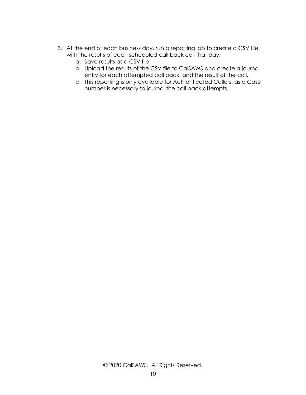- 3. At the end of each business day, run a reporting job to create a CSV file with the results of each scheduled call back call that day.
	- a. Save results as a CSV file
	- b. Upload the results of the CSV file to CalSAWS and create a journal entry for each attempted call back, and the result of the call.
	- c. This reporting is only available for Authenticated Callers, as a Case number is necessary to journal the call back attempts.